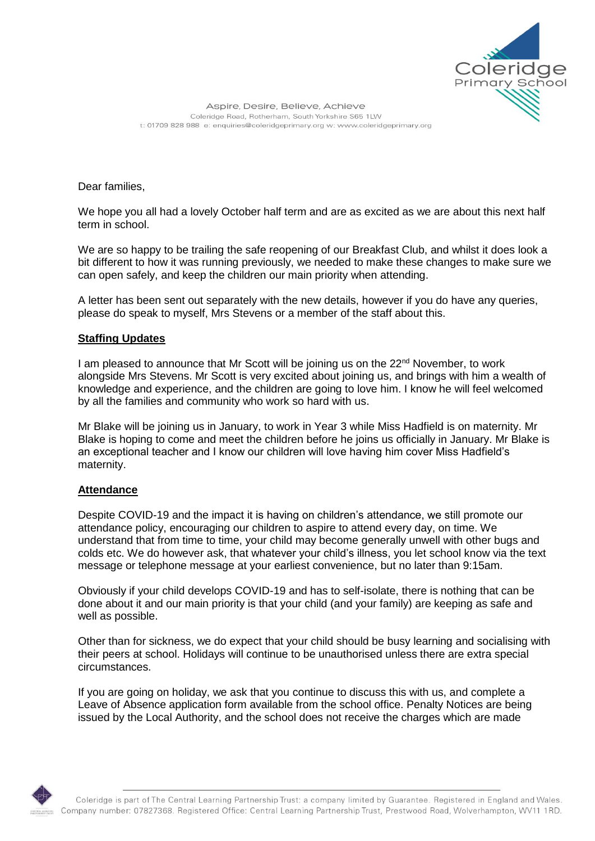

Aspire, Desire, Believe, Achieve Coleridge Road, Rotherham, South Yorkshire S65 1LW t: 01709 828 988 e: enquiries@coleridgeprimary.org w: www.coleridgeprimary.org

Dear families,

We hope you all had a lovely October half term and are as excited as we are about this next half term in school.

We are so happy to be trailing the safe reopening of our Breakfast Club, and whilst it does look a bit different to how it was running previously, we needed to make these changes to make sure we can open safely, and keep the children our main priority when attending.

A letter has been sent out separately with the new details, however if you do have any queries, please do speak to myself, Mrs Stevens or a member of the staff about this.

## **Staffing Updates**

I am pleased to announce that Mr Scott will be joining us on the  $22<sup>nd</sup>$  November, to work alongside Mrs Stevens. Mr Scott is very excited about joining us, and brings with him a wealth of knowledge and experience, and the children are going to love him. I know he will feel welcomed by all the families and community who work so hard with us.

Mr Blake will be joining us in January, to work in Year 3 while Miss Hadfield is on maternity. Mr Blake is hoping to come and meet the children before he joins us officially in January. Mr Blake is an exceptional teacher and I know our children will love having him cover Miss Hadfield's maternity.

## **Attendance**

Despite COVID-19 and the impact it is having on children's attendance, we still promote our attendance policy, encouraging our children to aspire to attend every day, on time. We understand that from time to time, your child may become generally unwell with other bugs and colds etc. We do however ask, that whatever your child's illness, you let school know via the text message or telephone message at your earliest convenience, but no later than 9:15am.

Obviously if your child develops COVID-19 and has to self-isolate, there is nothing that can be done about it and our main priority is that your child (and your family) are keeping as safe and well as possible.

Other than for sickness, we do expect that your child should be busy learning and socialising with their peers at school. Holidays will continue to be unauthorised unless there are extra special circumstances.

If you are going on holiday, we ask that you continue to discuss this with us, and complete a Leave of Absence application form available from the school office. Penalty Notices are being issued by the Local Authority, and the school does not receive the charges which are made